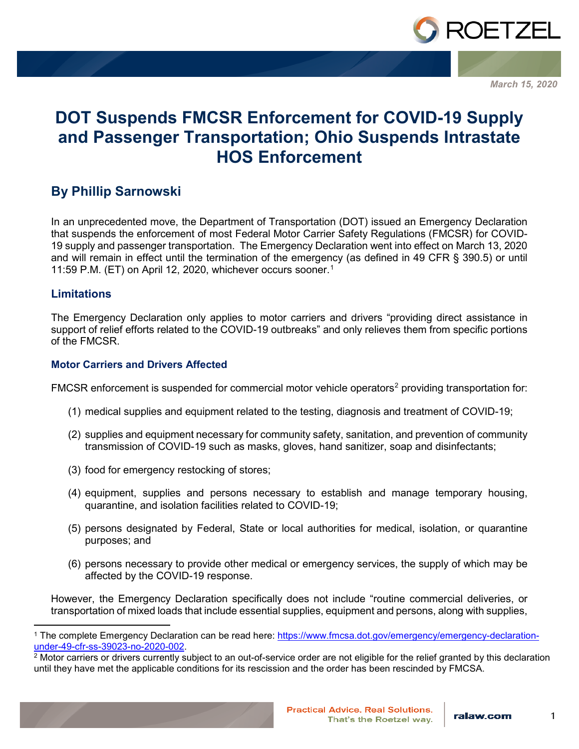

*March 15, 2020*

# **DOT Suspends FMCSR Enforcement for COVID-19 Supply and Passenger Transportation; Ohio Suspends Intrastate HOS Enforcement**

### **By Phillip Sarnowski**

In an unprecedented move, the Department of Transportation (DOT) issued an Emergency Declaration that suspends the enforcement of most Federal Motor Carrier Safety Regulations (FMCSR) for COVID-19 supply and passenger transportation. The Emergency Declaration went into effect on March 13, 2020 and will remain in effect until the termination of the emergency (as defined in 49 CFR § 390.5) or until 11:59 P.M. (ET) on April 12, 2020, whichever occurs sooner.[1](#page-0-0)

#### **Limitations**

The Emergency Declaration only applies to motor carriers and drivers "providing direct assistance in support of relief efforts related to the COVID-19 outbreaks" and only relieves them from specific portions of the FMCSR.

#### **Motor Carriers and Drivers Affected**

FMCSR enforcement is suspended for commercial motor vehicle operators<sup>[2](#page-0-1)</sup> providing transportation for:

- (1) medical supplies and equipment related to the testing, diagnosis and treatment of COVID-19;
- (2) supplies and equipment necessary for community safety, sanitation, and prevention of community transmission of COVID-19 such as masks, gloves, hand sanitizer, soap and disinfectants;
- (3) food for emergency restocking of stores;
- (4) equipment, supplies and persons necessary to establish and manage temporary housing, quarantine, and isolation facilities related to COVID-19;
- (5) persons designated by Federal, State or local authorities for medical, isolation, or quarantine purposes; and
- (6) persons necessary to provide other medical or emergency services, the supply of which may be affected by the COVID-19 response.

However, the Emergency Declaration specifically does not include "routine commercial deliveries, or transportation of mixed loads that include essential supplies, equipment and persons, along with supplies,

<span id="page-0-1"></span><span id="page-0-0"></span><sup>&</sup>lt;sup>2</sup> Motor carriers or drivers currently subject to an out-of-service order are not eligible for the relief granted by this declaration until they have met the applicable conditions for its rescission and the order has been rescinded by FMCSA.



<sup>&</sup>lt;sup>1</sup> The complete Emergency Declaration can be read here: <u>https://www.fmcsa.dot.gov/emergency/emergency-declaration-</u><br>under-49-cfr-ss-39023-no-2020-002.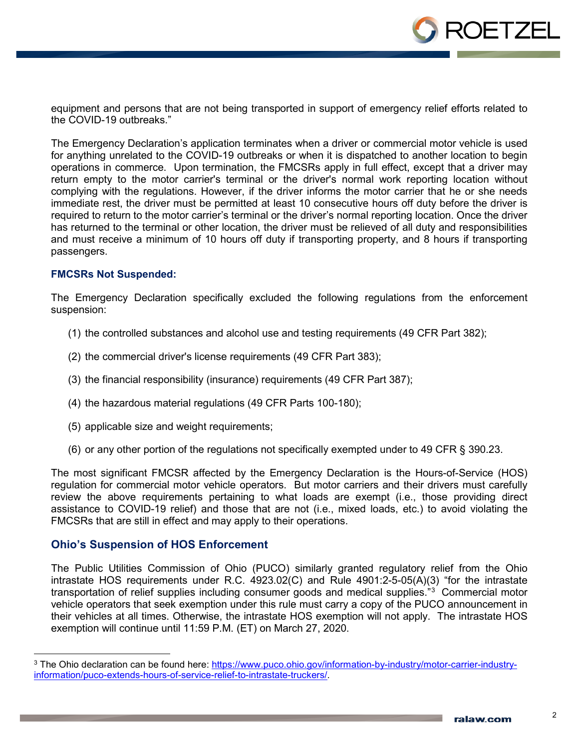

equipment and persons that are not being transported in support of emergency relief efforts related to the COVID-19 outbreaks."

The Emergency Declaration's application terminates when a driver or commercial motor vehicle is used for anything unrelated to the COVID-19 outbreaks or when it is dispatched to another location to begin operations in commerce. Upon termination, the FMCSRs apply in full effect, except that a driver may return empty to the motor carrier's terminal or the driver's normal work reporting location without complying with the regulations. However, if the driver informs the motor carrier that he or she needs immediate rest, the driver must be permitted at least 10 consecutive hours off duty before the driver is required to return to the motor carrier's terminal or the driver's normal reporting location. Once the driver has returned to the terminal or other location, the driver must be relieved of all duty and responsibilities and must receive a minimum of 10 hours off duty if transporting property, and 8 hours if transporting passengers.

#### **FMCSRs Not Suspended:**

The Emergency Declaration specifically excluded the following regulations from the enforcement suspension:

- (1) the controlled substances and alcohol use and testing requirements (49 CFR Part 382);
- (2) the commercial driver's license requirements (49 CFR Part 383);
- (3) the financial responsibility (insurance) requirements (49 CFR Part 387);
- (4) the hazardous material regulations (49 CFR Parts 100-180);
- (5) applicable size and weight requirements;
- (6) or any other portion of the regulations not specifically exempted under to 49 CFR § 390.23.

The most significant FMCSR affected by the Emergency Declaration is the Hours-of-Service (HOS) regulation for commercial motor vehicle operators. But motor carriers and their drivers must carefully review the above requirements pertaining to what loads are exempt (i.e., those providing direct assistance to COVID-19 relief) and those that are not (i.e., mixed loads, etc.) to avoid violating the FMCSRs that are still in effect and may apply to their operations.

#### **Ohio's Suspension of HOS Enforcement**

The Public Utilities Commission of Ohio (PUCO) similarly granted regulatory relief from the Ohio intrastate HOS requirements under R.C. 4923.02(C) and Rule 4901:2-5-05(A)(3) "for the intrastate transportation of relief supplies including consumer goods and medical supplies."<sup>[3](#page-1-0)</sup> Commercial motor vehicle operators that seek exemption under this rule must carry a copy of the PUCO announcement in their vehicles at all times. Otherwise, the intrastate HOS exemption will not apply. The intrastate HOS exemption will continue until 11:59 P.M. (ET) on March 27, 2020.

<span id="page-1-0"></span><sup>&</sup>lt;sup>3</sup> The Ohio declaration can be found here: [https://www.puco.ohio.gov/information-by-industry/motor-carrier-industry](https://www.puco.ohio.gov/information-by-industry/motor-carrier-industry-information/puco-extends-hours-of-service-relief-to-intrastate-truckers/)[information/puco-extends-hours-of-service-relief-to-intrastate-truckers/.](https://www.puco.ohio.gov/information-by-industry/motor-carrier-industry-information/puco-extends-hours-of-service-relief-to-intrastate-truckers/)